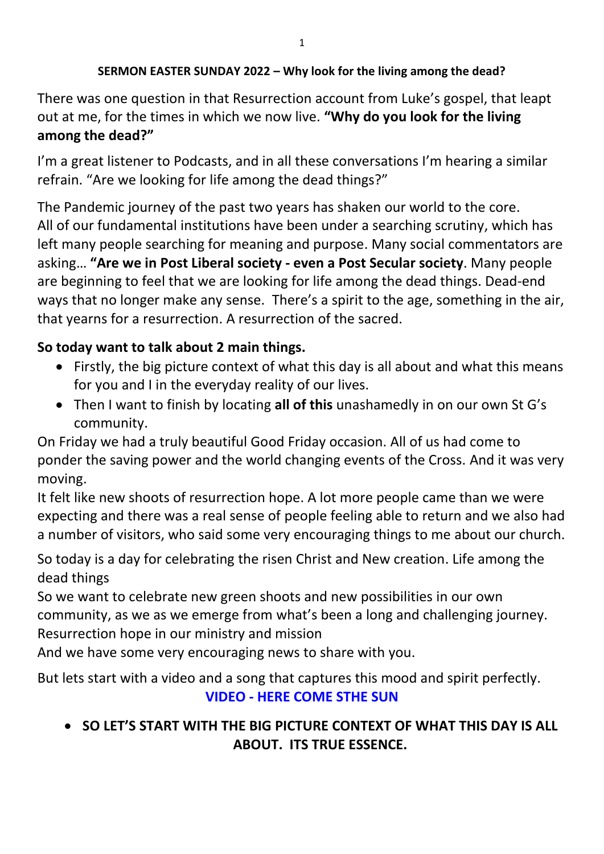#### **SERMON EASTER SUNDAY 2022 – Why look for the living among the dead?**

There was one question in that Resurrection account from Luke's gospel, that leapt out at me, for the times in which we now live. **"Why do you look for the living among the dead?"**

I'm a great listener to Podcasts, and in all these conversations I'm hearing a similar refrain. "Are we looking for life among the dead things?"

The Pandemic journey of the past two years has shaken our world to the core. All of our fundamental institutions have been under a searching scrutiny, which has left many people searching for meaning and purpose. Many social commentators are asking… **"Are we in Post Liberal society - even a Post Secular society**. Many people are beginning to feel that we are looking for life among the dead things. Dead-end ways that no longer make any sense. There's a spirit to the age, something in the air, that yearns for a resurrection. A resurrection of the sacred.

#### **So today want to talk about 2 main things.**

- Firstly, the big picture context of what this day is all about and what this means for you and I in the everyday reality of our lives.
- Then I want to finish by locating **all of this** unashamedly in on our own St G's community.

On Friday we had a truly beautiful Good Friday occasion. All of us had come to ponder the saving power and the world changing events of the Cross. And it was very moving.

It felt like new shoots of resurrection hope. A lot more people came than we were expecting and there was a real sense of people feeling able to return and we also had a number of visitors, who said some very encouraging things to me about our church.

So today is a day for celebrating the risen Christ and New creation. Life among the dead things

So we want to celebrate new green shoots and new possibilities in our own community, as we as we emerge from what's been a long and challenging journey. Resurrection hope in our ministry and mission

And we have some very encouraging news to share with you.

But lets start with a video and a song that captures this mood and spirit perfectly. **VIDEO - HERE COME STHE SUN**

# **SO LET'S START WITH THE BIG PICTURE CONTEXT OF WHAT THIS DAY IS ALL ABOUT. ITS TRUE ESSENCE.**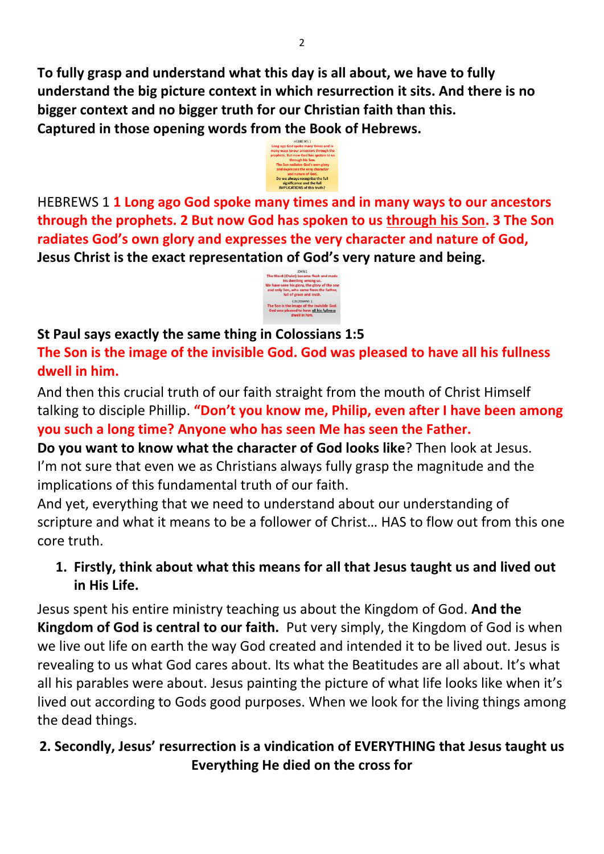**To fully grasp and understand what this day is all about, we have to fully understand the big picture context in which resurrection it sits. And there is no bigger context and no bigger truth for our Christian faith than this. Captured in those opening words from the Book of Hebrews.** 



HEBREWS 1 **1 Long ago God spoke many times and in many ways to our ancestors through the prophets. 2 But now God has spoken to us through his Son. 3 The Son radiates God's own glory and expresses the very character and nature of God, Jesus Christ is the exact representation of God's very nature and being.** 



#### **St Paul says exactly the same thing in Colossians 1:5**

**The Son is the image of the invisible God. God was pleased to have all his fullness dwell in him.** 

And then this crucial truth of our faith straight from the mouth of Christ Himself talking to disciple Phillip. **"Don't you know me, Philip, even after I have been among you such a long time? Anyone who has seen Me has seen the Father.** 

**Do you want to know what the character of God looks like**? Then look at Jesus. I'm not sure that even we as Christians always fully grasp the magnitude and the implications of this fundamental truth of our faith.

And yet, everything that we need to understand about our understanding of scripture and what it means to be a follower of Christ… HAS to flow out from this one core truth.

**1. Firstly, think about what this means for all that Jesus taught us and lived out in His Life.** 

Jesus spent his entire ministry teaching us about the Kingdom of God. **And the Kingdom of God is central to our faith.** Put very simply, the Kingdom of God is when we live out life on earth the way God created and intended it to be lived out. Jesus is revealing to us what God cares about. Its what the Beatitudes are all about. It's what all his parables were about. Jesus painting the picture of what life looks like when it's lived out according to Gods good purposes. When we look for the living things among the dead things.

# **2. Secondly, Jesus' resurrection is a vindication of EVERYTHING that Jesus taught us Everything He died on the cross for**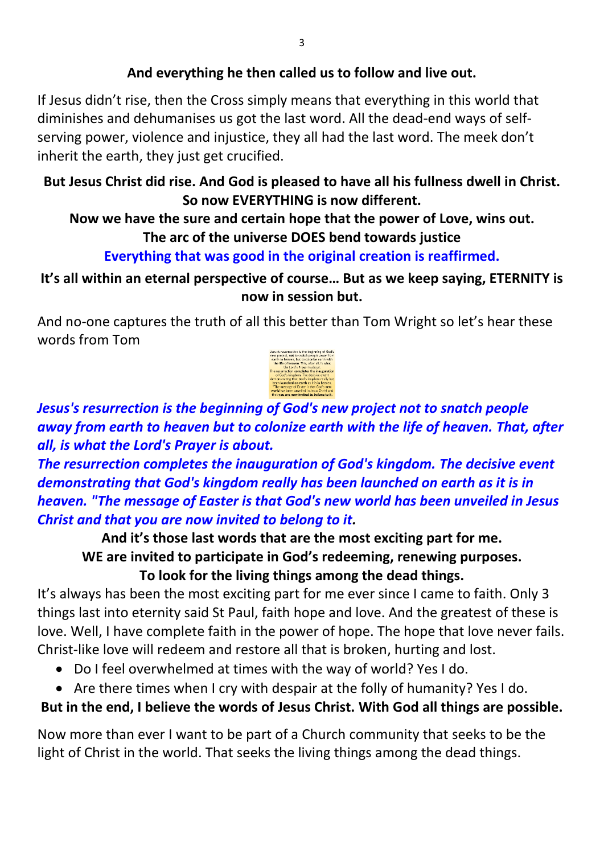## **And everything he then called us to follow and live out.**

If Jesus didn't rise, then the Cross simply means that everything in this world that diminishes and dehumanises us got the last word. All the dead-end ways of selfserving power, violence and injustice, they all had the last word. The meek don't inherit the earth, they just get crucified.

## **But Jesus Christ did rise. And God is pleased to have all his fullness dwell in Christ. So now EVERYTHING is now different.**

# **Now we have the sure and certain hope that the power of Love, wins out. The arc of the universe DOES bend towards justice**

# **Everything that was good in the original creation is reaffirmed.**

# **It's all within an eternal perspective of course… But as we keep saying, ETERNITY is now in session but.**

And no-one captures the truth of all this better than Tom Wright so let's hear these words from Tom



*Jesus's resurrection is the beginning of God's new project not to snatch people away from earth to heaven but to colonize earth with the life of heaven. That, after all, is what the Lord's Prayer is about.* 

*The resurrection completes the inauguration of God's kingdom. The decisive event demonstrating that God's kingdom really has been launched on earth as it is in heaven. "The message of Easter is that God's new world has been unveiled in Jesus Christ and that you are now invited to belong to it.* 

**And it's those last words that are the most exciting part for me. WE are invited to participate in God's redeeming, renewing purposes. To look for the living things among the dead things.** 

It's always has been the most exciting part for me ever since I came to faith. Only 3 things last into eternity said St Paul, faith hope and love. And the greatest of these is love. Well, I have complete faith in the power of hope. The hope that love never fails. Christ-like love will redeem and restore all that is broken, hurting and lost.

- Do I feel overwhelmed at times with the way of world? Yes I do.
- Are there times when I cry with despair at the folly of humanity? Yes I do.

# **But in the end, I believe the words of Jesus Christ. With God all things are possible.**

Now more than ever I want to be part of a Church community that seeks to be the light of Christ in the world. That seeks the living things among the dead things.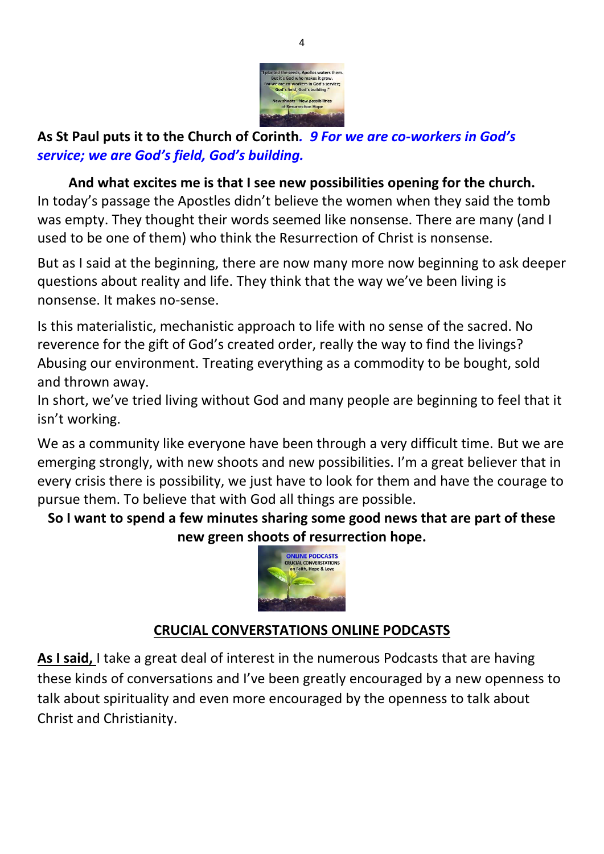

# **As St Paul puts it to the Church of Corinth***. 9 For we are co-workers in God's service; we are God's field, God's building.*

# **And what excites me is that I see new possibilities opening for the church.**

In today's passage the Apostles didn't believe the women when they said the tomb was empty. They thought their words seemed like nonsense. There are many (and I used to be one of them) who think the Resurrection of Christ is nonsense.

But as I said at the beginning, there are now many more now beginning to ask deeper questions about reality and life. They think that the way we've been living is nonsense. It makes no-sense.

Is this materialistic, mechanistic approach to life with no sense of the sacred. No reverence for the gift of God's created order, really the way to find the livings? Abusing our environment. Treating everything as a commodity to be bought, sold and thrown away.

In short, we've tried living without God and many people are beginning to feel that it isn't working.

We as a community like everyone have been through a very difficult time. But we are emerging strongly, with new shoots and new possibilities. I'm a great believer that in every crisis there is possibility, we just have to look for them and have the courage to pursue them. To believe that with God all things are possible.

**So I want to spend a few minutes sharing some good news that are part of these new green shoots of resurrection hope.** 



# **CRUCIAL CONVERSTATIONS ONLINE PODCASTS**

**As I said,** I take a great deal of interest in the numerous Podcasts that are having these kinds of conversations and I've been greatly encouraged by a new openness to talk about spirituality and even more encouraged by the openness to talk about Christ and Christianity.

4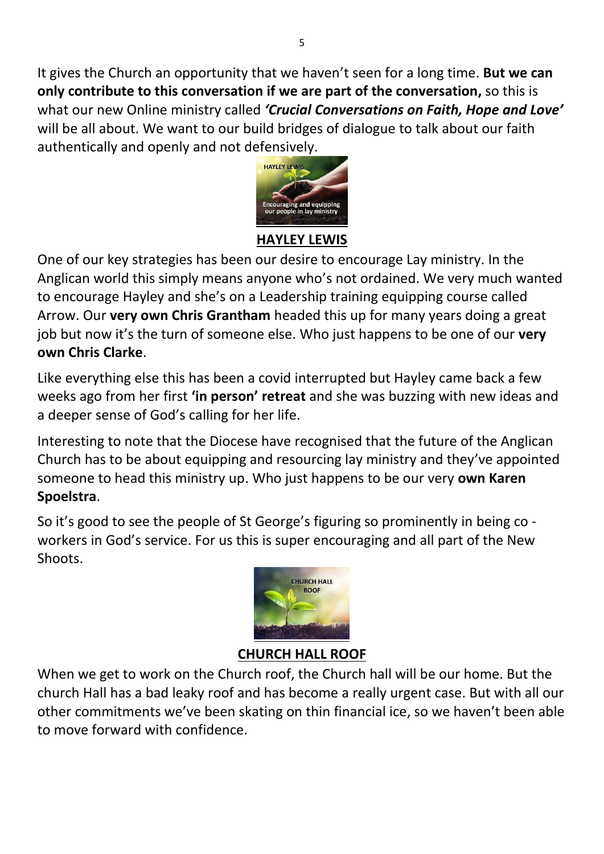It gives the Church an opportunity that we haven't seen for a long time. **But we can only contribute to this conversation if we are part of the conversation,** so this is what our new Online ministry called *'Crucial Conversations on Faith, Hope and Love'* will be all about. We want to our build bridges of dialogue to talk about our faith authentically and openly and not defensively.



## **HAYLEY LEWIS**

One of our key strategies has been our desire to encourage Lay ministry. In the Anglican world this simply means anyone who's not ordained. We very much wanted to encourage Hayley and she's on a Leadership training equipping course called Arrow. Our **very own Chris Grantham** headed this up for many years doing a great job but now it's the turn of someone else. Who just happens to be one of our **very own Chris Clarke**.

Like everything else this has been a covid interrupted but Hayley came back a few weeks ago from her first **'in person' retreat** and she was buzzing with new ideas and a deeper sense of God's calling for her life.

Interesting to note that the Diocese have recognised that the future of the Anglican Church has to be about equipping and resourcing lay ministry and they've appointed someone to head this ministry up. Who just happens to be our very **own Karen Spoelstra**.

So it's good to see the people of St George's figuring so prominently in being co workers in God's service. For us this is super encouraging and all part of the New Shoots.



# **CHURCH HALL ROOF**

When we get to work on the Church roof, the Church hall will be our home. But the church Hall has a bad leaky roof and has become a really urgent case. But with all our other commitments we've been skating on thin financial ice, so we haven't been able to move forward with confidence.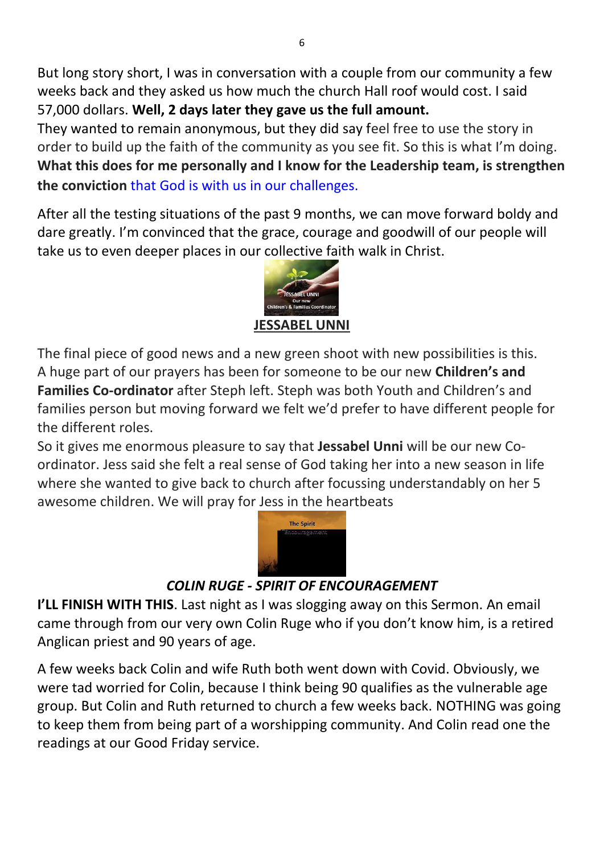But long story short, I was in conversation with a couple from our community a few weeks back and they asked us how much the church Hall roof would cost. I said 57,000 dollars. **Well, 2 days later they gave us the full amount.**

They wanted to remain anonymous, but they did say feel free to use the story in order to build up the faith of the community as you see fit. So this is what I'm doing. **What this does for me personally and I know for the Leadership team, is strengthen the conviction** that God is with us in our challenges.

After all the testing situations of the past 9 months, we can move forward boldy and dare greatly. I'm convinced that the grace, courage and goodwill of our people will take us to even deeper places in our collective faith walk in Christ.



The final piece of good news and a new green shoot with new possibilities is this. A huge part of our prayers has been for someone to be our new **Children's and Families Co-ordinator** after Steph left. Steph was both Youth and Children's and families person but moving forward we felt we'd prefer to have different people for the different roles.

So it gives me enormous pleasure to say that **Jessabel Unni** will be our new Coordinator. Jess said she felt a real sense of God taking her into a new season in life where she wanted to give back to church after focussing understandably on her 5 awesome children. We will pray for Jess in the heartbeats



# *COLIN RUGE - SPIRIT OF ENCOURAGEMENT*

**I'LL FINISH WITH THIS**. Last night as I was slogging away on this Sermon. An email came through from our very own Colin Ruge who if you don't know him, is a retired Anglican priest and 90 years of age.

A few weeks back Colin and wife Ruth both went down with Covid. Obviously, we were tad worried for Colin, because I think being 90 qualifies as the vulnerable age group. But Colin and Ruth returned to church a few weeks back. NOTHING was going to keep them from being part of a worshipping community. And Colin read one the readings at our Good Friday service.